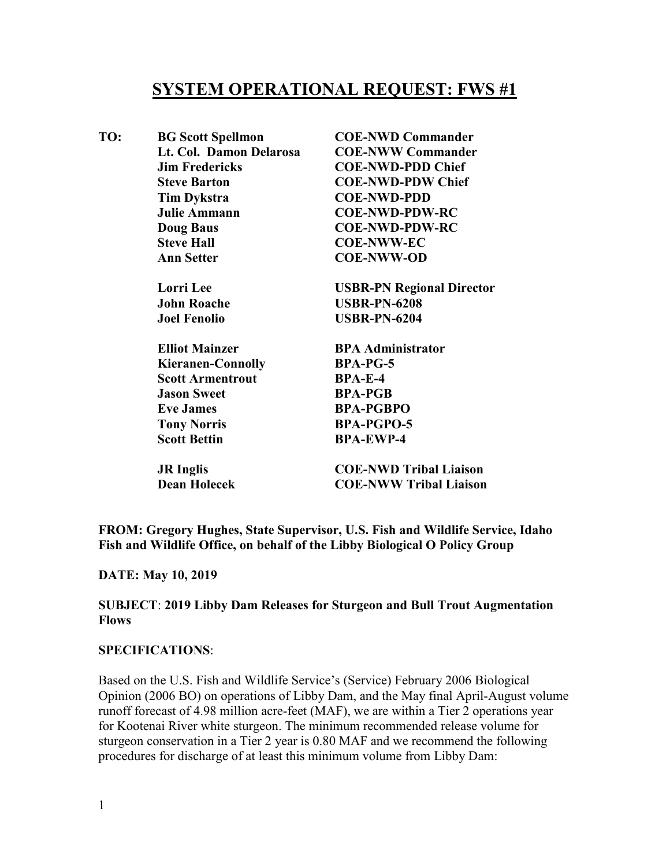# **SYSTEM OPERATIONAL REQUEST: FWS #1**

| TO: | <b>BG Scott Spellmon</b> | <b>COE-NWD Commander</b>         |
|-----|--------------------------|----------------------------------|
|     | Lt. Col. Damon Delarosa  | <b>COE-NWW Commander</b>         |
|     | <b>Jim Fredericks</b>    | <b>COE-NWD-PDD Chief</b>         |
|     | <b>Steve Barton</b>      | <b>COE-NWD-PDW Chief</b>         |
|     | <b>Tim Dykstra</b>       | <b>COE-NWD-PDD</b>               |
|     | <b>Julie Ammann</b>      | <b>COE-NWD-PDW-RC</b>            |
|     | <b>Doug Baus</b>         | <b>COE-NWD-PDW-RC</b>            |
|     | <b>Steve Hall</b>        | <b>COE-NWW-EC</b>                |
|     | <b>Ann Setter</b>        | <b>COE-NWW-OD</b>                |
|     | <b>Lorri</b> Lee         | <b>USBR-PN Regional Director</b> |
|     | <b>John Roache</b>       | <b>USBR-PN-6208</b>              |
|     | <b>Joel Fenolio</b>      | <b>USBR-PN-6204</b>              |
|     | <b>Elliot Mainzer</b>    | <b>BPA Administrator</b>         |
|     | <b>Kieranen-Connolly</b> | <b>BPA-PG-5</b>                  |
|     | <b>Scott Armentrout</b>  | <b>BPA-E-4</b>                   |
|     | <b>Jason Sweet</b>       | <b>BPA-PGB</b>                   |
|     | <b>Eve James</b>         | <b>BPA-PGBPO</b>                 |
|     | <b>Tony Norris</b>       | <b>BPA-PGPO-5</b>                |
|     | <b>Scott Bettin</b>      | <b>BPA-EWP-4</b>                 |
|     | <b>JR</b> Inglis         | <b>COE-NWD Tribal Liaison</b>    |
|     | <b>Dean Holecek</b>      | <b>COE-NWW Tribal Liaison</b>    |
|     |                          |                                  |

**FROM: Gregory Hughes, State Supervisor, U.S. Fish and Wildlife Service, Idaho Fish and Wildlife Office, on behalf of the Libby Biological O Policy Group**

#### **DATE: May 10, 2019**

## **SUBJECT**: **2019 Libby Dam Releases for Sturgeon and Bull Trout Augmentation Flows**

### **SPECIFICATIONS**:

Based on the U.S. Fish and Wildlife Service's (Service) February 2006 Biological Opinion (2006 BO) on operations of Libby Dam, and the May final April-August volume runoff forecast of 4.98 million acre-feet (MAF), we are within a Tier 2 operations year for Kootenai River white sturgeon. The minimum recommended release volume for sturgeon conservation in a Tier 2 year is 0.80 MAF and we recommend the following procedures for discharge of at least this minimum volume from Libby Dam: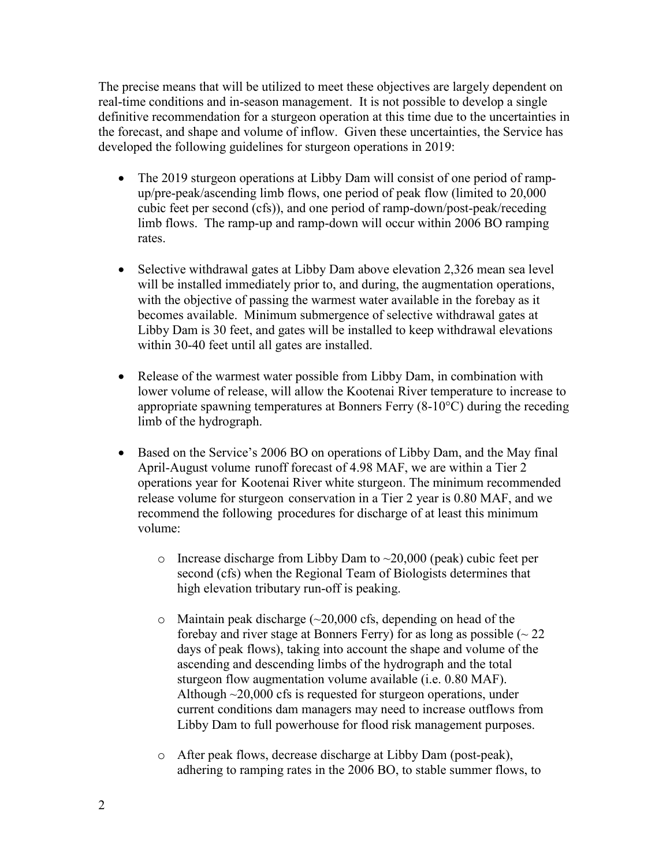The precise means that will be utilized to meet these objectives are largely dependent on real-time conditions and in-season management. It is not possible to develop a single definitive recommendation for a sturgeon operation at this time due to the uncertainties in the forecast, and shape and volume of inflow. Given these uncertainties, the Service has developed the following guidelines for sturgeon operations in 2019:

- The 2019 sturgeon operations at Libby Dam will consist of one period of rampup/pre-peak/ascending limb flows, one period of peak flow (limited to 20,000 cubic feet per second (cfs)), and one period of ramp-down/post-peak/receding limb flows. The ramp-up and ramp-down will occur within 2006 BO ramping rates.
- Selective withdrawal gates at Libby Dam above elevation 2,326 mean sea level will be installed immediately prior to, and during, the augmentation operations, with the objective of passing the warmest water available in the forebay as it becomes available. Minimum submergence of selective withdrawal gates at Libby Dam is 30 feet, and gates will be installed to keep withdrawal elevations within 30-40 feet until all gates are installed.
- Release of the warmest water possible from Libby Dam, in combination with lower volume of release, will allow the Kootenai River temperature to increase to appropriate spawning temperatures at Bonners Ferry (8-10°C) during the receding limb of the hydrograph.
- Based on the Service's 2006 BO on operations of Libby Dam, and the May final April-August volume runoff forecast of 4.98 MAF, we are within a Tier 2 operations year for Kootenai River white sturgeon. The minimum recommended release volume for sturgeon conservation in a Tier 2 year is 0.80 MAF, and we recommend the following procedures for discharge of at least this minimum volume:
	- $\circ$  Increase discharge from Libby Dam to  $\sim$ 20,000 (peak) cubic feet per second (cfs) when the Regional Team of Biologists determines that high elevation tributary run-off is peaking.
	- $\circ$  Maintain peak discharge ( $\sim$ 20,000 cfs, depending on head of the forebay and river stage at Bonners Ferry) for as long as possible  $(22)$ days of peak flows), taking into account the shape and volume of the ascending and descending limbs of the hydrograph and the total sturgeon flow augmentation volume available (i.e. 0.80 MAF). Although  $\sim$ 20,000 cfs is requested for sturgeon operations, under current conditions dam managers may need to increase outflows from Libby Dam to full powerhouse for flood risk management purposes.
	- o After peak flows, decrease discharge at Libby Dam (post-peak), adhering to ramping rates in the 2006 BO, to stable summer flows, to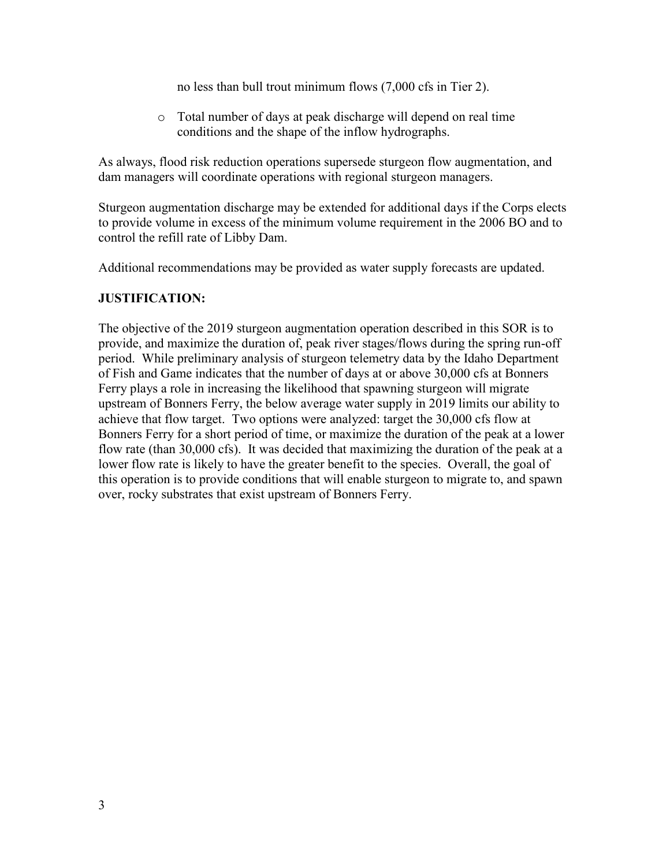no less than bull trout minimum flows (7,000 cfs in Tier 2).

o Total number of days at peak discharge will depend on real time conditions and the shape of the inflow hydrographs.

As always, flood risk reduction operations supersede sturgeon flow augmentation, and dam managers will coordinate operations with regional sturgeon managers.

Sturgeon augmentation discharge may be extended for additional days if the Corps elects to provide volume in excess of the minimum volume requirement in the 2006 BO and to control the refill rate of Libby Dam.

Additional recommendations may be provided as water supply forecasts are updated.

## **JUSTIFICATION:**

The objective of the 2019 sturgeon augmentation operation described in this SOR is to provide, and maximize the duration of, peak river stages/flows during the spring run-off period. While preliminary analysis of sturgeon telemetry data by the Idaho Department of Fish and Game indicates that the number of days at or above 30,000 cfs at Bonners Ferry plays a role in increasing the likelihood that spawning sturgeon will migrate upstream of Bonners Ferry, the below average water supply in 2019 limits our ability to achieve that flow target. Two options were analyzed: target the 30,000 cfs flow at Bonners Ferry for a short period of time, or maximize the duration of the peak at a lower flow rate (than 30,000 cfs). It was decided that maximizing the duration of the peak at a lower flow rate is likely to have the greater benefit to the species. Overall, the goal of this operation is to provide conditions that will enable sturgeon to migrate to, and spawn over, rocky substrates that exist upstream of Bonners Ferry.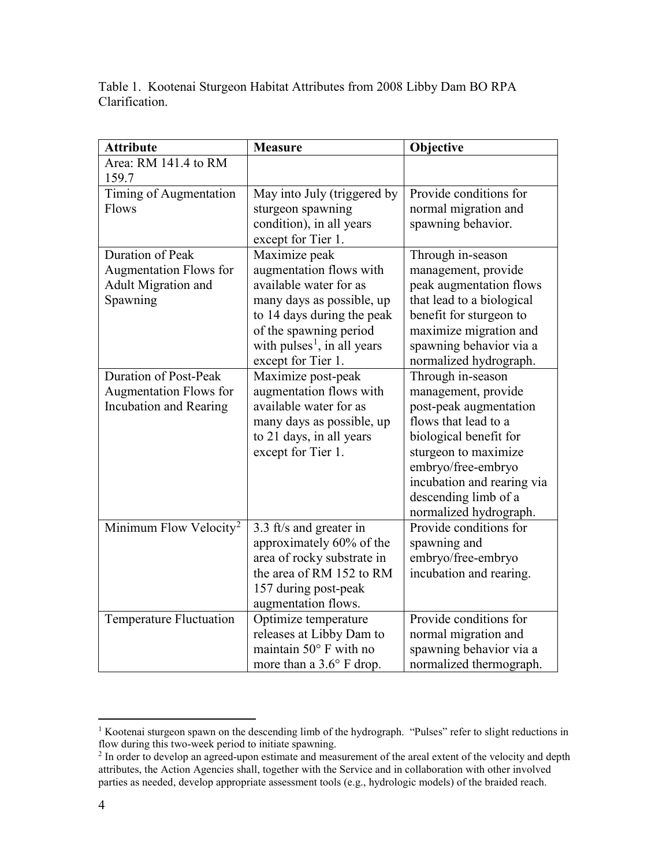Table 1. Kootenai Sturgeon Habitat Attributes from 2008 Libby Dam BO RPA Clarification.

| <b>Attribute</b>                   | <b>Measure</b>                          | Objective                  |
|------------------------------------|-----------------------------------------|----------------------------|
| Area: RM 141.4 to RM<br>159.7      |                                         |                            |
| Timing of Augmentation             | May into July (triggered by             | Provide conditions for     |
| Flows                              | sturgeon spawning                       | normal migration and       |
|                                    | condition), in all years                | spawning behavior.         |
|                                    | except for Tier 1.                      |                            |
| Duration of Peak                   | Maximize peak                           | Through in-season          |
| <b>Augmentation Flows for</b>      | augmentation flows with                 | management, provide        |
| Adult Migration and                | available water for as                  | peak augmentation flows    |
| Spawning                           | many days as possible, up               | that lead to a biological  |
|                                    | to 14 days during the peak              | benefit for sturgeon to    |
|                                    | of the spawning period                  | maximize migration and     |
|                                    | with pulses <sup>1</sup> , in all years | spawning behavior via a    |
|                                    | except for Tier 1.                      | normalized hydrograph.     |
| <b>Duration of Post-Peak</b>       | Maximize post-peak                      | Through in-season          |
| Augmentation Flows for             | augmentation flows with                 | management, provide        |
| Incubation and Rearing             | available water for as                  | post-peak augmentation     |
|                                    | many days as possible, up               | flows that lead to a       |
|                                    | to 21 days, in all years                | biological benefit for     |
|                                    | except for Tier 1.                      | sturgeon to maximize       |
|                                    |                                         | embryo/free-embryo         |
|                                    |                                         | incubation and rearing via |
|                                    |                                         | descending limb of a       |
|                                    |                                         | normalized hydrograph.     |
| Minimum Flow Velocity <sup>2</sup> | 3.3 ft/s and greater in                 | Provide conditions for     |
|                                    | approximately 60% of the                | spawning and               |
|                                    | area of rocky substrate in              | embryo/free-embryo         |
|                                    | the area of RM 152 to RM                | incubation and rearing.    |
|                                    | 157 during post-peak                    |                            |
|                                    | augmentation flows.                     | Provide conditions for     |
| Temperature Fluctuation            | Optimize temperature                    |                            |
|                                    | releases at Libby Dam to                | normal migration and       |
|                                    | maintain 50° F with no                  | spawning behavior via a    |
|                                    | more than a 3.6° F drop.                | normalized thermograph.    |

<span id="page-3-0"></span><sup>&</sup>lt;sup>1</sup> Kootenai sturgeon spawn on the descending limb of the hydrograph. "Pulses" refer to slight reductions in flow during this two-week period to initiate spawning.

<span id="page-3-1"></span><sup>&</sup>lt;sup>2</sup> In order to develop an agreed-upon estimate and measurement of the areal extent of the velocity and depth attributes, the Action Agencies shall, together with the Service and in collaboration with other involved parties as needed, develop appropriate assessment tools (e.g., hydrologic models) of the braided reach.